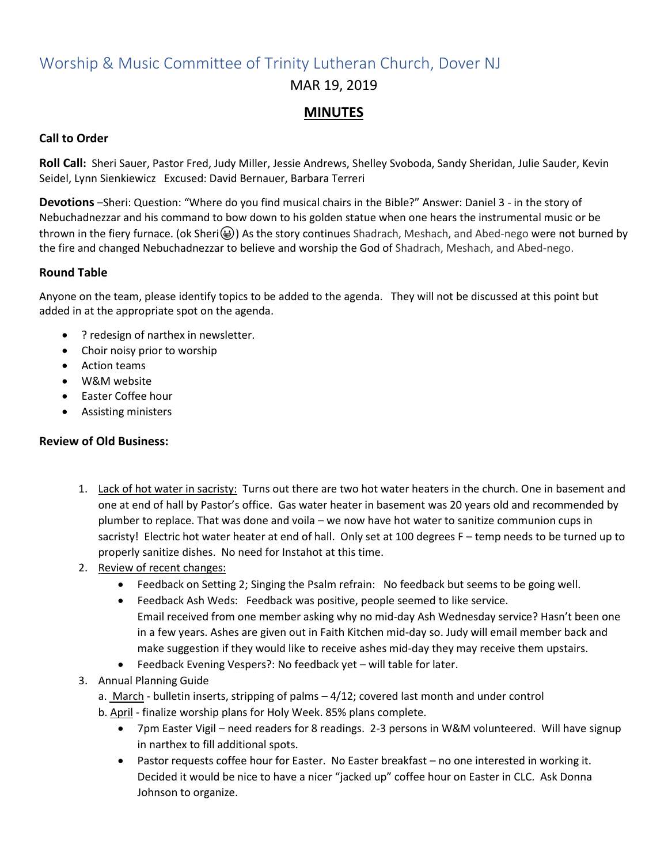## Worship & Music Committee of Trinity Lutheran Church, Dover NJ MAR 19, 2019

### **MINUTES**

#### **Call to Order**

**Roll Call:** Sheri Sauer, Pastor Fred, Judy Miller, Jessie Andrews, Shelley Svoboda, Sandy Sheridan, Julie Sauder, Kevin Seidel, Lynn Sienkiewicz Excused: David Bernauer, Barbara Terreri

**Devotions** –Sheri: Question: "Where do you find musical chairs in the Bible?" Answer: Daniel 3 - in the story of Nebuchadnezzar and his command to bow down to his golden statue when one hears the instrumental music or be thrown in the fiery furnace. (ok Sheri( $\bigcirc$ )) As the story continues Shadrach, Meshach, and Abed-nego were not burned by the fire and changed Nebuchadnezzar to believe and worship the God of Shadrach, Meshach, and Abed-nego.

#### **Round Table**

Anyone on the team, please identify topics to be added to the agenda. They will not be discussed at this point but added in at the appropriate spot on the agenda.

- ? redesign of narthex in newsletter.
- Choir noisy prior to worship
- Action teams
- W&M website
- Easter Coffee hour
- Assisting ministers

### **Review of Old Business:**

- 1. Lack of hot water in sacristy: Turns out there are two hot water heaters in the church. One in basement and one at end of hall by Pastor's office. Gas water heater in basement was 20 years old and recommended by plumber to replace. That was done and voila – we now have hot water to sanitize communion cups in sacristy! Electric hot water heater at end of hall. Only set at 100 degrees F – temp needs to be turned up to properly sanitize dishes. No need for Instahot at this time.
- 2. Review of recent changes:
	- Feedback on Setting 2; Singing the Psalm refrain: No feedback but seems to be going well.
	- Feedback Ash Weds: Feedback was positive, people seemed to like service. Email received from one member asking why no mid-day Ash Wednesday service? Hasn't been one in a few years. Ashes are given out in Faith Kitchen mid-day so. Judy will email member back and make suggestion if they would like to receive ashes mid-day they may receive them upstairs.
	- Feedback Evening Vespers?: No feedback yet will table for later.
- 3. Annual Planning Guide
	- a. March bulletin inserts, stripping of palms  $-4/12$ ; covered last month and under control
	- b. April finalize worship plans for Holy Week. 85% plans complete.
		- 7pm Easter Vigil need readers for 8 readings. 2-3 persons in W&M volunteered. Will have signup in narthex to fill additional spots.
		- Pastor requests coffee hour for Easter. No Easter breakfast no one interested in working it. Decided it would be nice to have a nicer "jacked up" coffee hour on Easter in CLC. Ask Donna Johnson to organize.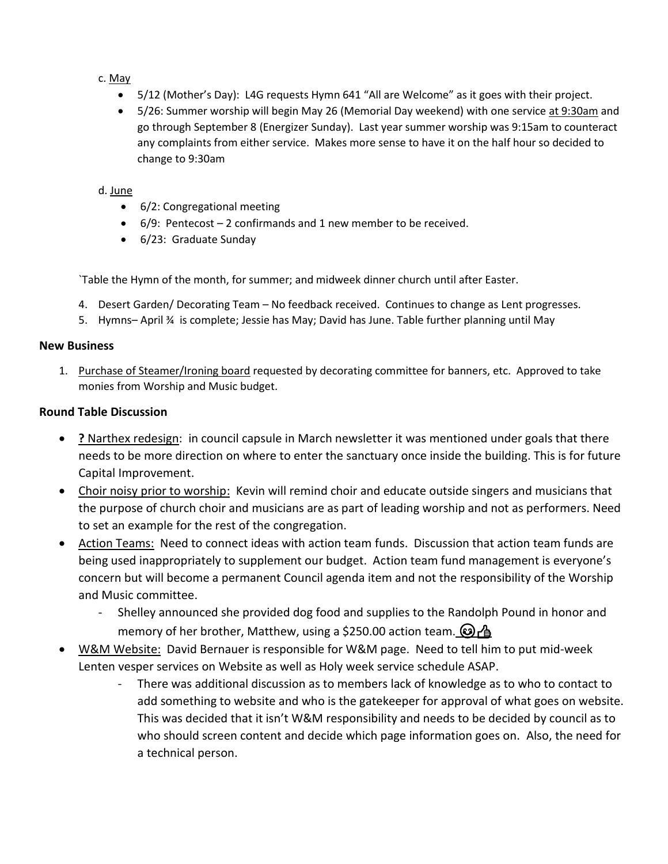#### c. May

- 5/12 (Mother's Day): L4G requests Hymn 641 "All are Welcome" as it goes with their project.
- 5/26: Summer worship will begin May 26 (Memorial Day weekend) with one service at 9:30am and go through September 8 (Energizer Sunday). Last year summer worship was 9:15am to counteract any complaints from either service. Makes more sense to have it on the half hour so decided to change to 9:30am

#### d. June

- 6/2: Congregational meeting
- $\bullet$  6/9: Pentecost 2 confirmands and 1 new member to be received.
- 6/23: Graduate Sunday

`Table the Hymn of the month, for summer; and midweek dinner church until after Easter.

- 4. Desert Garden/ Decorating Team No feedback received. Continues to change as Lent progresses.
- 5. Hymns– April ¾ is complete; Jessie has May; David has June. Table further planning until May

#### **New Business**

1. Purchase of Steamer/Ironing board requested by decorating committee for banners, etc. Approved to take monies from Worship and Music budget.

#### **Round Table Discussion**

- **?** Narthex redesign: in council capsule in March newsletter it was mentioned under goals that there needs to be more direction on where to enter the sanctuary once inside the building. This is for future Capital Improvement.
- Choir noisy prior to worship: Kevin will remind choir and educate outside singers and musicians that the purpose of church choir and musicians are as part of leading worship and not as performers. Need to set an example for the rest of the congregation.
- Action Teams: Need to connect ideas with action team funds. Discussion that action team funds are being used inappropriately to supplement our budget. Action team fund management is everyone's concern but will become a permanent Council agenda item and not the responsibility of the Worship and Music committee.
	- Shelley announced she provided dog food and supplies to the Randolph Pound in honor and memory of her brother, Matthew, using a \$250.00 action team.  $\odot$   $\uparrow$
- W&M Website: David Bernauer is responsible for W&M page. Need to tell him to put mid-week Lenten vesper services on Website as well as Holy week service schedule ASAP.
	- There was additional discussion as to members lack of knowledge as to who to contact to add something to website and who is the gatekeeper for approval of what goes on website. This was decided that it isn't W&M responsibility and needs to be decided by council as to who should screen content and decide which page information goes on. Also, the need for a technical person.